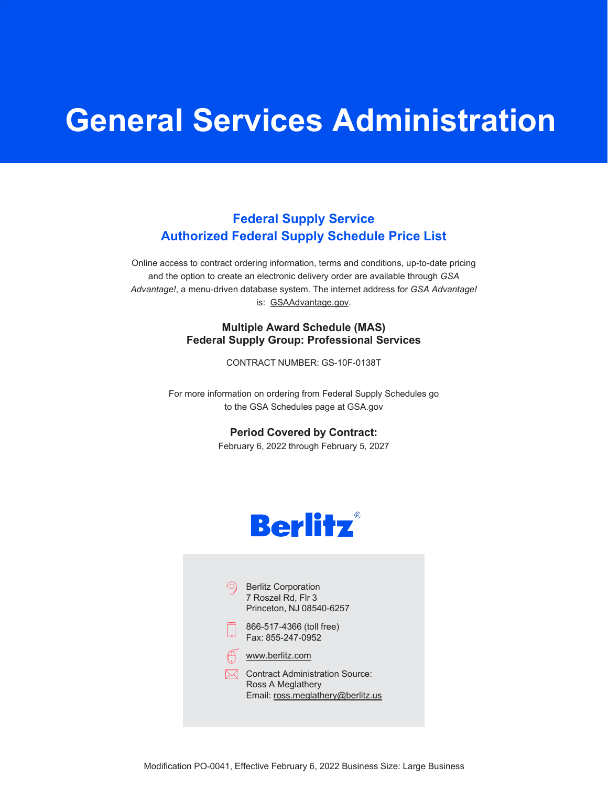# **General Services Administration**

## **Federal Supply Service Authorized Federal Supply Schedule Price List**

Online access to contract ordering information, terms and conditions, up-to-date pricing and the option to create an electronic delivery order are available through *GSA Advantage!*, a menu-driven database system. The internet address for *GSA Advantage!* is: [GSAAdvantage.gov.](http://gsaadvantage.gov/)

#### **Multiple Award Schedule (MAS) Federal Supply Group: Professional Services**

CONTRACT NUMBER: GS-10F-0138T

For more information on ordering from Federal Supply Schedules go to the GSA Schedules page at GSA.gov

**Period Covered by Contract:**

February 6, 2022 through February 5, 2027



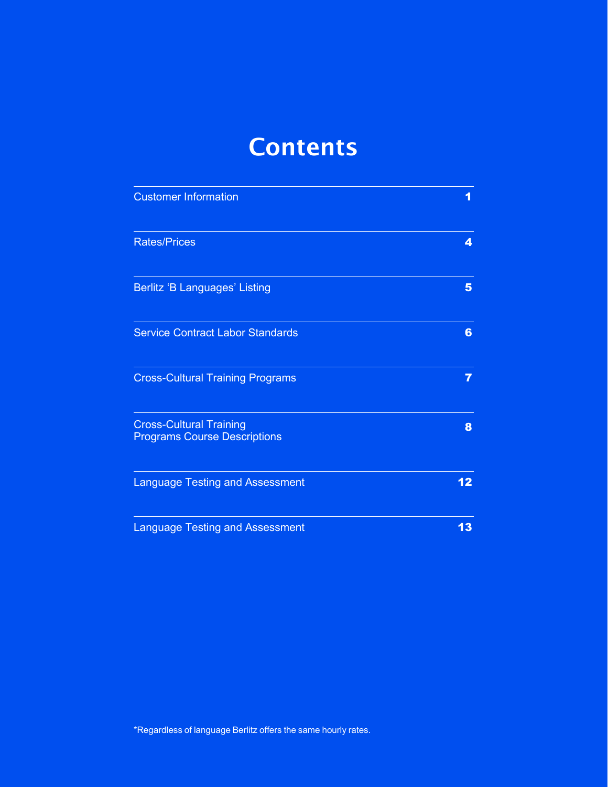# **Contents**

| <b>Customer Information</b>                                           | 1               |
|-----------------------------------------------------------------------|-----------------|
| <b>Rates/Prices</b>                                                   | 4               |
| <b>Berlitz 'B Languages' Listing</b>                                  | 5               |
| <b>Service Contract Labor Standards</b>                               | 6               |
| <b>Cross-Cultural Training Programs</b>                               | 7               |
| <b>Cross-Cultural Training</b><br><b>Programs Course Descriptions</b> | 8               |
| <b>Language Testing and Assessment</b>                                | 12 <sub>2</sub> |
| <b>Language Testing and Assessment</b>                                | 13              |

\*Regardless of language Berlitz offers the same hourly rates.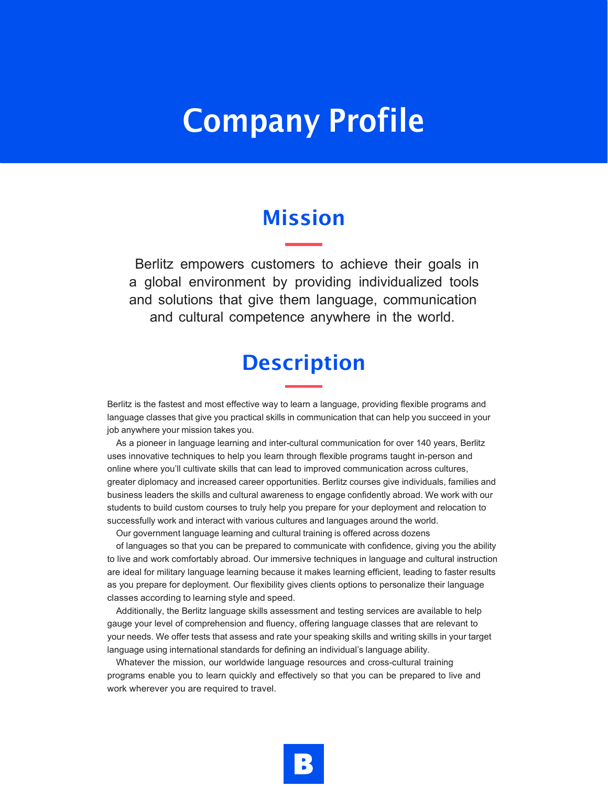# Company Profile

## Mission

Berlitz empowers customers to achieve their goals in a global environment by providing individualized tools and solutions that give them language, communication and cultural competence anywhere in the world.

## **Description**

Berlitz is the fastest and most effective way to learn a language, providing flexible programs and language classes that give you practical skills in communication that can help you succeed in your job anywhere your mission takes you.

As a pioneer in language learning and inter-cultural communication for over 140 years, Berlitz uses innovative techniques to help you learn through flexible programs taught in-person and online where you'll cultivate skills that can lead to improved communication across cultures, greater diplomacy and increased career opportunities. Berlitz courses give individuals, families and business leaders the skills and cultural awareness to engage confidently abroad. We work with our students to build custom courses to truly help you prepare for your deployment and relocation to successfully work and interact with various cultures and languages around the world.

Our government language learning and cultural training is offered across dozens

of languages so that you can be prepared to communicate with confidence, giving you the ability to live and work comfortably abroad. Our immersive techniques in language and cultural instruction are ideal for military language learning because it makes learning efficient, leading to faster results as you prepare for deployment. Our flexibility gives clients options to personalize their language classes according to learning style and speed.

Additionally, the Berlitz language skills assessment and testing services are available to help gauge your level of comprehension and fluency, offering language classes that are relevant to your needs. We offer tests that assess and rate your speaking skills and writing skills in your target language using international standards for defining an individual's language ability.

Whatever the mission, our worldwide language resources and cross-cultural training programs enable you to learn quickly and effectively so that you can be prepared to live and work wherever you are required to travel.

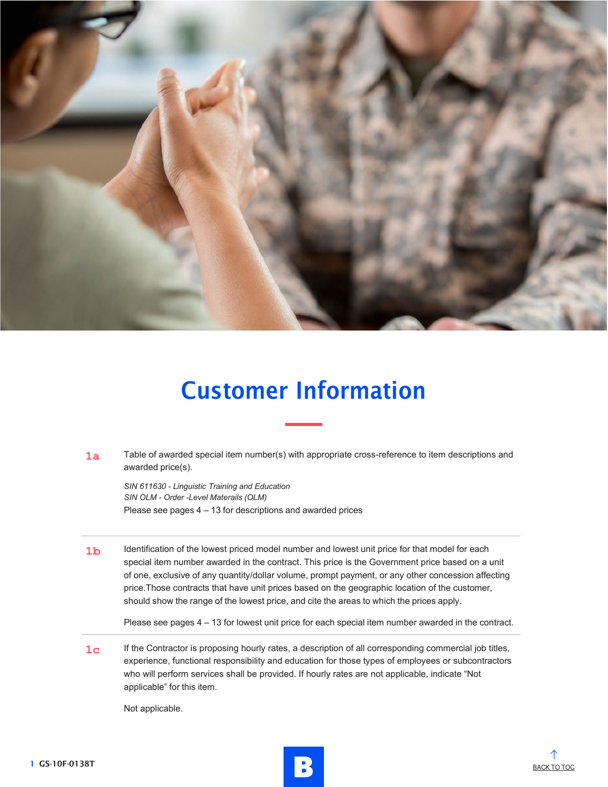

# Customer Information

1a Table of awarded special item number(s) with appropriate cross-reference to item descriptions and awarded price(s).

*SIN 611630 - Linguistic Training and Education SIN OLM - Order -Level Materails (OLM)* Please see pages 4 – 13 for descriptions and awarded prices

1b Identification of the lowest priced model number and lowest unit price for that model for each special item number awarded in the contract. This price is the Government price based on a unit of one, exclusive of any quantity/dollar volume, prompt payment, or any other concession affecting price.Those contracts that have unit prices based on the geographic location of the customer, should show the range of the lowest price, and cite the areas to which the prices apply.

Please see pages 4 – 13 for lowest unit price for each special item number awarded in the contract.

**1<sub>C</sub>** If the Contractor is proposing hourly rates, a description of all corresponding commercial job titles, experience, functional responsibility and education for those types of employees or subcontractors who will perform services shall be provided. If hourly rates are not applicable, indicate "Not applicable" for this item.

Not applicable.



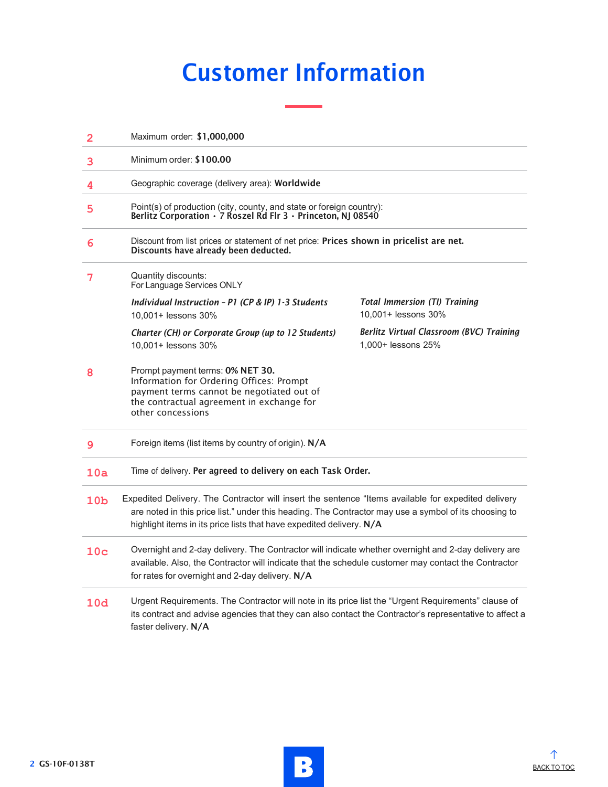# Customer Information

| $\overline{2}$  | Maximum order: \$1,000,000                                                                                                                                                                                                                                                           |                                                                |  |
|-----------------|--------------------------------------------------------------------------------------------------------------------------------------------------------------------------------------------------------------------------------------------------------------------------------------|----------------------------------------------------------------|--|
| 3               | Minimum order: \$100.00                                                                                                                                                                                                                                                              |                                                                |  |
| 4               | Geographic coverage (delivery area): Worldwide                                                                                                                                                                                                                                       |                                                                |  |
| 5               | Point(s) of production (city, county, and state or foreign country):<br>Berlitz Corporation · 7 Roszel Rd Flr 3 · Princeton, NJ 08540                                                                                                                                                |                                                                |  |
| 6               | Discount from list prices or statement of net price: Prices shown in pricelist are net.<br>Discounts have already been deducted.                                                                                                                                                     |                                                                |  |
| 7               | Quantity discounts:<br>For Language Services ONLY                                                                                                                                                                                                                                    |                                                                |  |
|                 | Individual Instruction - P1 (CP & IP) 1-3 Students<br>10,001+ lessons 30%                                                                                                                                                                                                            | <b>Total Immersion (TI) Training</b><br>10,001+ lessons 30%    |  |
|                 | Charter (CH) or Corporate Group (up to 12 Students)<br>10,001+ lessons 30%                                                                                                                                                                                                           | Berlitz Virtual Classroom (BVC) Training<br>1,000+ lessons 25% |  |
| 8               | Prompt payment terms: 0% NET 30.<br>Information for Ordering Offices: Prompt<br>payment terms cannot be negotiated out of<br>the contractual agreement in exchange for<br>other concessions                                                                                          |                                                                |  |
| 9               | Foreign items (list items by country of origin). N/A                                                                                                                                                                                                                                 |                                                                |  |
| 10a             | Time of delivery. Per agreed to delivery on each Task Order.                                                                                                                                                                                                                         |                                                                |  |
| 10 <sub>b</sub> | Expedited Delivery. The Contractor will insert the sentence "Items available for expedited delivery<br>are noted in this price list." under this heading. The Contractor may use a symbol of its choosing to<br>highlight items in its price lists that have expedited delivery. N/A |                                                                |  |
| 10 <sub>c</sub> | Overnight and 2-day delivery. The Contractor will indicate whether overnight and 2-day delivery are<br>available. Also, the Contractor will indicate that the schedule customer may contact the Contractor<br>for rates for overnight and 2-day delivery. N/A                        |                                                                |  |
| 10d             | Urgent Requirements. The Contractor will note in its price list the "Urgent Requirements" clause of<br>its contract and advise agencies that they can also contact the Contractor's representative to affect a<br>faster delivery. N/A                                               |                                                                |  |

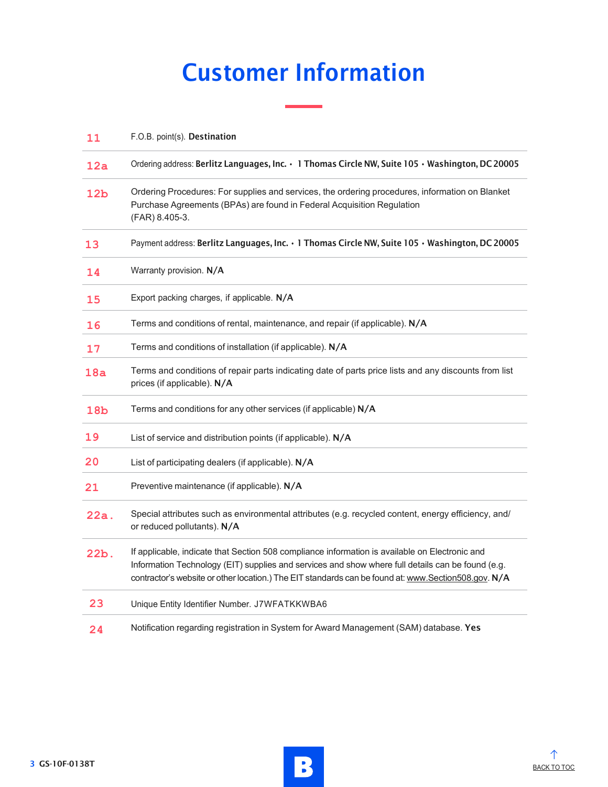# Customer Information

| 11              | F.O.B. point(s). Destination                                                                                                                                                                                                                                                                               |
|-----------------|------------------------------------------------------------------------------------------------------------------------------------------------------------------------------------------------------------------------------------------------------------------------------------------------------------|
| 12a             | Ordering address: Berlitz Languages, Inc. · 1 Thomas Circle NW, Suite 105 · Washington, DC 20005                                                                                                                                                                                                           |
| 12 <sub>b</sub> | Ordering Procedures: For supplies and services, the ordering procedures, information on Blanket<br>Purchase Agreements (BPAs) are found in Federal Acquisition Regulation<br>(FAR) 8.405-3.                                                                                                                |
| 13              | Payment address: Berlitz Languages, Inc. · 1 Thomas Circle NW, Suite 105 · Washington, DC 20005                                                                                                                                                                                                            |
| 14              | Warranty provision. N/A                                                                                                                                                                                                                                                                                    |
| 15              | Export packing charges, if applicable. N/A                                                                                                                                                                                                                                                                 |
| 16              | Terms and conditions of rental, maintenance, and repair (if applicable). N/A                                                                                                                                                                                                                               |
| 17              | Terms and conditions of installation (if applicable). N/A                                                                                                                                                                                                                                                  |
| 18a             | Terms and conditions of repair parts indicating date of parts price lists and any discounts from list<br>prices (if applicable). N/A                                                                                                                                                                       |
| 18 <sub>b</sub> | Terms and conditions for any other services (if applicable) N/A                                                                                                                                                                                                                                            |
| 19              | List of service and distribution points (if applicable). N/A                                                                                                                                                                                                                                               |
| 20              | List of participating dealers (if applicable). N/A                                                                                                                                                                                                                                                         |
| 21              | Preventive maintenance (if applicable). N/A                                                                                                                                                                                                                                                                |
| 22a.            | Special attributes such as environmental attributes (e.g. recycled content, energy efficiency, and/<br>or reduced pollutants). N/A                                                                                                                                                                         |
| 22b.            | If applicable, indicate that Section 508 compliance information is available on Electronic and<br>Information Technology (EIT) supplies and services and show where full details can be found (e.g.<br>contractor's website or other location.) The EIT standards can be found at: www.Section508.gov. N/A |
| 23              | Unique Entity Identifier Number. J7WFATKKWBA6                                                                                                                                                                                                                                                              |
| 24              | Notification regarding registration in System for Award Management (SAM) database. Yes                                                                                                                                                                                                                     |

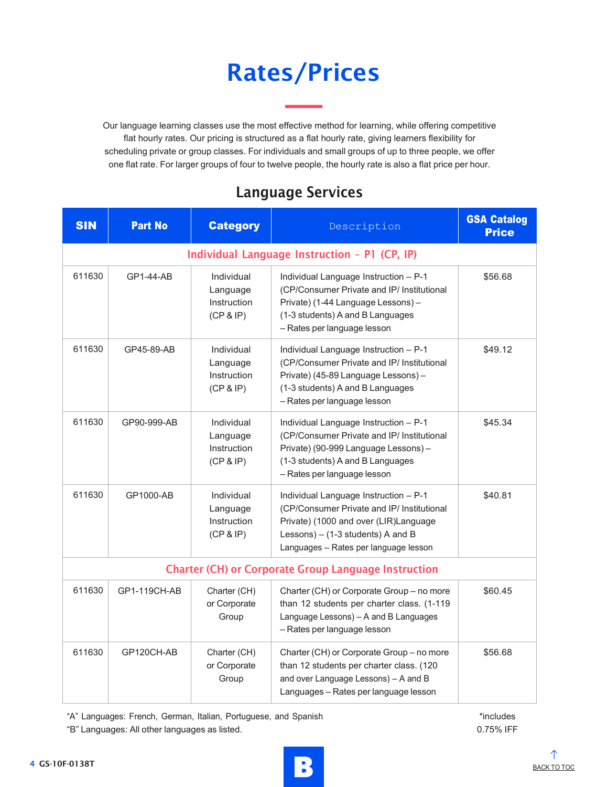# Rates/Prices

Our language learning classes use the most effective method for learning, while offering competitive flat hourly rates. Our pricing is structured as a flat hourly rate, giving learners flexibility for scheduling private or group classes. For individuals and small groups of up to three people, we offer one flat rate. For larger groups of four to twelve people, the hourly rate is also a flat price per hour.

## Language Services

| <b>SIN</b>                                                  | <b>Part No</b> | <b>Category</b>                                    | Description                                                                                                                                                                                                  | <b>GSA Catalog</b><br><b>Price</b> |
|-------------------------------------------------------------|----------------|----------------------------------------------------|--------------------------------------------------------------------------------------------------------------------------------------------------------------------------------------------------------------|------------------------------------|
| Individual Language Instruction - P1 (CP, IP)               |                |                                                    |                                                                                                                                                                                                              |                                    |
| 611630                                                      | GP1-44-AB      | Individual<br>Language<br>Instruction<br>(CP & IP) | Individual Language Instruction - P-1<br>(CP/Consumer Private and IP/ Institutional<br>Private) (1-44 Language Lessons) -<br>(1-3 students) A and B Languages<br>- Rates per language lesson                 | \$56.68                            |
| 611630                                                      | GP45-89-AB     | Individual<br>Language<br>Instruction<br>(CP & IP) | Individual Language Instruction - P-1<br>(CP/Consumer Private and IP/ Institutional<br>Private) (45-89 Language Lessons) -<br>(1-3 students) A and B Languages<br>- Rates per language lesson                | \$49.12                            |
| 611630                                                      | GP90-999-AB    | Individual<br>Language<br>Instruction<br>(CP & IP) | Individual Language Instruction - P-1<br>(CP/Consumer Private and IP/ Institutional<br>Private) (90-999 Language Lessons) -<br>(1-3 students) A and B Languages<br>- Rates per language lesson               | \$45.34                            |
| 611630                                                      | GP1000-AB      | Individual<br>Language<br>Instruction<br>(CP & IP) | Individual Language Instruction - P-1<br>(CP/Consumer Private and IP/ Institutional<br>Private) (1000 and over (LIR)Language<br>Lessons) $-$ (1-3 students) A and B<br>Languages - Rates per language lesson | \$40.81                            |
| <b>Charter (CH) or Corporate Group Language Instruction</b> |                |                                                    |                                                                                                                                                                                                              |                                    |
| 611630                                                      | GP1-119CH-AB   | Charter (CH)<br>or Corporate<br>Group              | Charter (CH) or Corporate Group - no more<br>than 12 students per charter class. (1-119<br>Language Lessons) - A and B Languages<br>- Rates per language lesson                                              | \$60.45                            |
| 611630                                                      | GP120CH-AB     | Charter (CH)<br>or Corporate<br>Group              | Charter (CH) or Corporate Group - no more<br>than 12 students per charter class. (120<br>and over Language Lessons) - A and B<br>Languages - Rates per language lesson                                       | \$56.68                            |

"A" Languages: French, German, Italian, Portuguese, and Spanish

"B" Languages: All other languages as listed.

\*includes 0.75% IFF

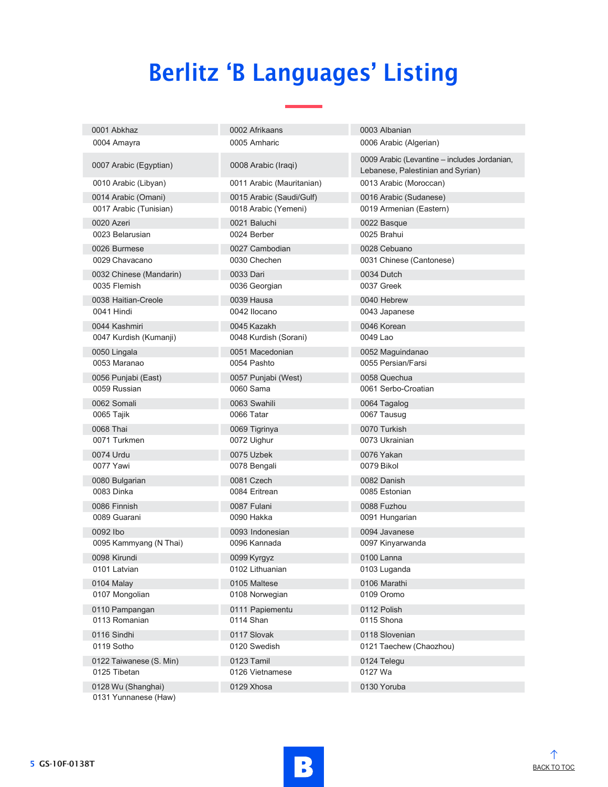# Berlitz 'B Languages' Listing

| 0001 Abkhaz                                | 0002 Afrikaans            | 0003 Albanian                                                                     |
|--------------------------------------------|---------------------------|-----------------------------------------------------------------------------------|
| 0004 Amayra                                | 0005 Amharic              | 0006 Arabic (Algerian)                                                            |
| 0007 Arabic (Egyptian)                     | 0008 Arabic (Iraqi)       | 0009 Arabic (Levantine - includes Jordanian,<br>Lebanese, Palestinian and Syrian) |
| 0010 Arabic (Libyan)                       | 0011 Arabic (Mauritanian) | 0013 Arabic (Moroccan)                                                            |
| 0014 Arabic (Omani)                        | 0015 Arabic (Saudi/Gulf)  | 0016 Arabic (Sudanese)                                                            |
| 0017 Arabic (Tunisian)                     | 0018 Arabic (Yemeni)      | 0019 Armenian (Eastern)                                                           |
| 0020 Azeri                                 | 0021 Baluchi              | 0022 Basque                                                                       |
| 0023 Belarusian                            | 0024 Berber               | 0025 Brahui                                                                       |
| 0026 Burmese                               | 0027 Cambodian            | 0028 Cebuano                                                                      |
| 0029 Chavacano                             | 0030 Chechen              | 0031 Chinese (Cantonese)                                                          |
| 0032 Chinese (Mandarin)                    | 0033 Dari                 | 0034 Dutch                                                                        |
| 0035 Flemish                               | 0036 Georgian             | 0037 Greek                                                                        |
| 0038 Haitian-Creole                        | 0039 Hausa                | 0040 Hebrew                                                                       |
| 0041 Hindi                                 | 0042 Ilocano              | 0043 Japanese                                                                     |
| 0044 Kashmiri                              | 0045 Kazakh               | 0046 Korean                                                                       |
| 0047 Kurdish (Kumanji)                     | 0048 Kurdish (Sorani)     | 0049 Lao                                                                          |
| 0050 Lingala                               | 0051 Macedonian           | 0052 Maguindanao                                                                  |
| 0053 Maranao                               | 0054 Pashto               | 0055 Persian/Farsi                                                                |
| 0056 Punjabi (East)                        | 0057 Punjabi (West)       | 0058 Quechua                                                                      |
| 0059 Russian                               | 0060 Sama                 | 0061 Serbo-Croatian                                                               |
| 0062 Somali                                | 0063 Swahili              | 0064 Tagalog                                                                      |
| 0065 Tajik                                 | 0066 Tatar                | 0067 Tausug                                                                       |
| 0068 Thai                                  | 0069 Tigrinya             | 0070 Turkish                                                                      |
| 0071 Turkmen                               | 0072 Uighur               | 0073 Ukrainian                                                                    |
| 0074 Urdu                                  | 0075 Uzbek                | 0076 Yakan                                                                        |
| 0077 Yawi                                  | 0078 Bengali              | 0079 Bikol                                                                        |
| 0080 Bulgarian                             | 0081 Czech                | 0082 Danish                                                                       |
| 0083 Dinka                                 | 0084 Eritrean             | 0085 Estonian                                                                     |
| 0086 Finnish                               | 0087 Fulani               | 0088 Fuzhou                                                                       |
| 0089 Guarani                               | 0090 Hakka                | 0091 Hungarian                                                                    |
| 0092 lbo                                   | 0093 Indonesian           | 0094 Javanese                                                                     |
| 0095 Kammyang (N Thai)                     | 0096 Kannada              | 0097 Kinyarwanda                                                                  |
| 0098 Kirundi                               | 0099 Kyrgyz               | 0100 Lanna                                                                        |
| 0101 Latvian                               | 0102 Lithuanian           | 0103 Luganda                                                                      |
| 0104 Malay                                 | 0105 Maltese              | 0106 Marathi                                                                      |
| 0107 Mongolian                             | 0108 Norwegian            | 0109 Oromo                                                                        |
| 0110 Pampangan                             | 0111 Papiementu           | 0112 Polish                                                                       |
| 0113 Romanian                              | 0114 Shan                 | 0115 Shona                                                                        |
| 0116 Sindhi                                | 0117 Slovak               | 0118 Slovenian                                                                    |
| 0119 Sotho                                 | 0120 Swedish              | 0121 Taechew (Chaozhou)                                                           |
| 0122 Taiwanese (S. Min)                    | 0123 Tamil                | 0124 Telegu                                                                       |
| 0125 Tibetan                               | 0126 Vietnamese           | 0127 Wa                                                                           |
| 0128 Wu (Shanghai)<br>0131 Yunnanese (Haw) | 0129 Xhosa                | 0130 Yoruba                                                                       |
|                                            |                           |                                                                                   |

![](_page_7_Picture_3.jpeg)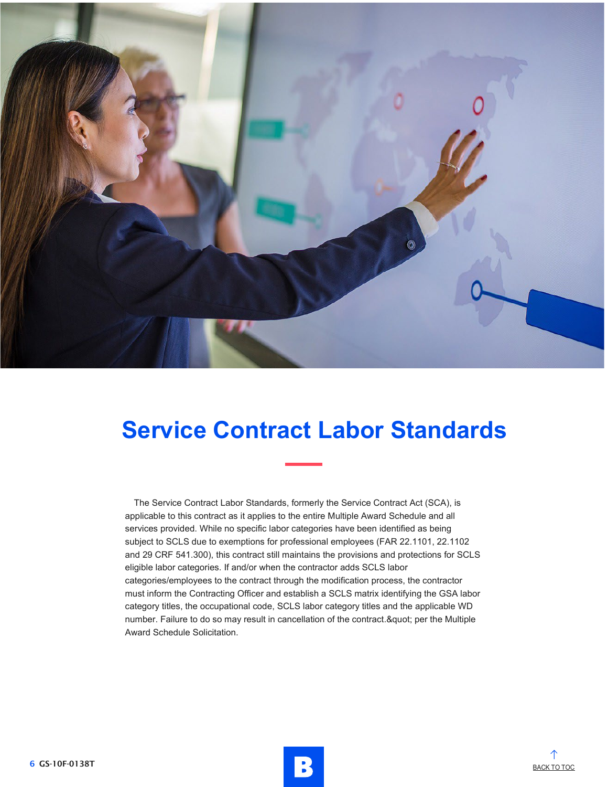![](_page_8_Picture_0.jpeg)

## **Service Contract Labor Standards**

The Service Contract Labor Standards, formerly the Service Contract Act (SCA), is applicable to this contract as it applies to the entire Multiple Award Schedule and all services provided. While no specific labor categories have been identified as being subject to SCLS due to exemptions for professional employees (FAR 22.1101, 22.1102 and 29 CRF 541.300), this contract still maintains the provisions and protections for SCLS eligible labor categories. If and/or when the contractor adds SCLS labor categories/employees to the contract through the modification process, the contractor must inform the Contracting Officer and establish a SCLS matrix identifying the GSA labor category titles, the occupational code, SCLS labor category titles and the applicable WD number. Failure to do so may result in cancellation of the contract." per the Multiple Award Schedule Solicitation.

![](_page_8_Picture_4.jpeg)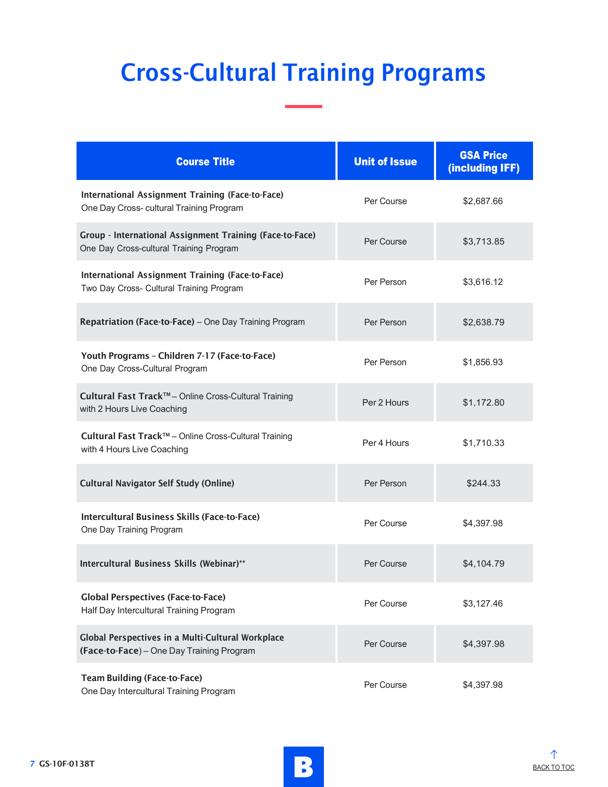# Cross-Cultural Training Programs

| <b>Course Title</b>                                                                                 | <b>Unit of Issue</b> | <b>GSA Price</b><br>(including IFF) |
|-----------------------------------------------------------------------------------------------------|----------------------|-------------------------------------|
| International Assignment Training (Face-to-Face)<br>One Day Cross- cultural Training Program        | Per Course           | \$2,687.66                          |
| Group - International Assignment Training (Face-to-Face)<br>One Day Cross-cultural Training Program | Per Course           | \$3,713.85                          |
| International Assignment Training (Face-to-Face)<br>Two Day Cross- Cultural Training Program        | Per Person           | \$3,616.12                          |
| Repatriation (Face-to-Face) - One Day Training Program                                              | Per Person           | \$2,638.79                          |
| Youth Programs - Children 7-17 (Face-to-Face)<br>One Day Cross-Cultural Program                     | Per Person           | \$1,856.93                          |
| Cultural Fast Track™- Online Cross-Cultural Training<br>with 2 Hours Live Coaching                  | Per 2 Hours          | \$1,172.80                          |
| Cultural Fast Track™ - Online Cross-Cultural Training<br>with 4 Hours Live Coaching                 | Per 4 Hours          | \$1,710.33                          |
| <b>Cultural Navigator Self Study (Online)</b>                                                       | Per Person           | \$244.33                            |
| Intercultural Business Skills (Face-to-Face)<br>One Day Training Program                            | Per Course           | \$4,397.98                          |
| Intercultural Business Skills (Webinar)**                                                           | Per Course           | \$4,104.79                          |
| <b>Global Perspectives (Face-to-Face)</b><br>Half Day Intercultural Training Program                | Per Course           | \$3,127.46                          |
| Global Perspectives in a Multi-Cultural Workplace<br>(Face-to-Face) - One Day Training Program      | Per Course           | \$4,397.98                          |
| <b>Team Building (Face-to-Face)</b><br>One Day Intercultural Training Program                       | Per Course           | \$4,397.98                          |

![](_page_9_Picture_3.jpeg)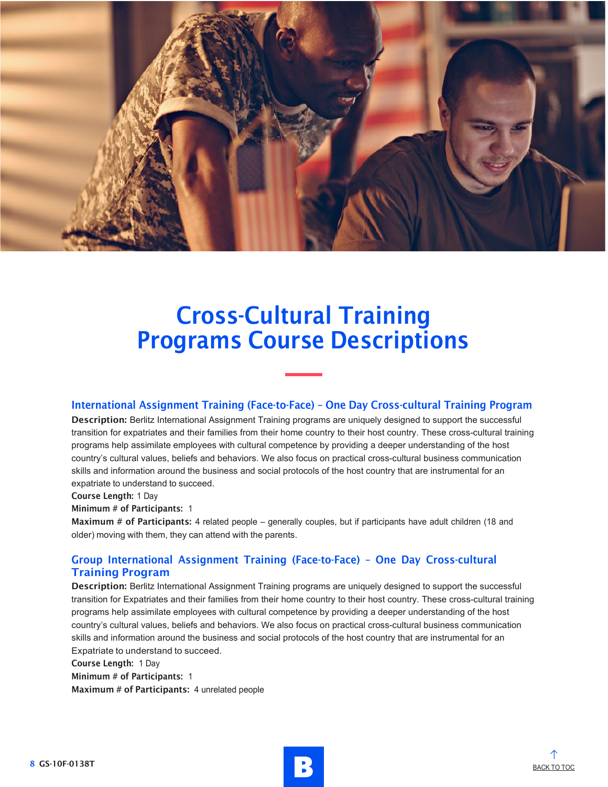![](_page_10_Picture_0.jpeg)

#### International Assignment Training (Face-to-Face) – One Day Cross-cultural Training Program

Description: Berlitz International Assignment Training programs are uniquely designed to support the successful transition for expatriates and their families from their home country to their host country. These cross-cultural training programs help assimilate employees with cultural competence by providing a deeper understanding of the host country's cultural values, beliefs and behaviors. We also focus on practical cross-cultural business communication skills and information around the business and social protocols of the host country that are instrumental for an expatriate to understand to succeed.

#### Course Length: 1 Day

#### Minimum # of Participants: 1

Maximum # of Participants: 4 related people – generally couples, but if participants have adult children (18 and older) moving with them, they can attend with the parents.

### Group International Assignment Training (Face-to-Face) – One Day Cross-cultural Training Program

Description: Berlitz International Assignment Training programs are uniquely designed to support the successful transition for Expatriates and their families from their home country to their host country. These cross-cultural training programs help assimilate employees with cultural competence by providing a deeper understanding of the host country's cultural values, beliefs and behaviors. We also focus on practical cross-cultural business communication skills and information around the business and social protocols of the host country that are instrumental for an Expatriate to understand to succeed.

Course Length: 1 Day Minimum # of Participants: 1 Maximum # of Participants: 4 unrelated people

![](_page_10_Picture_11.jpeg)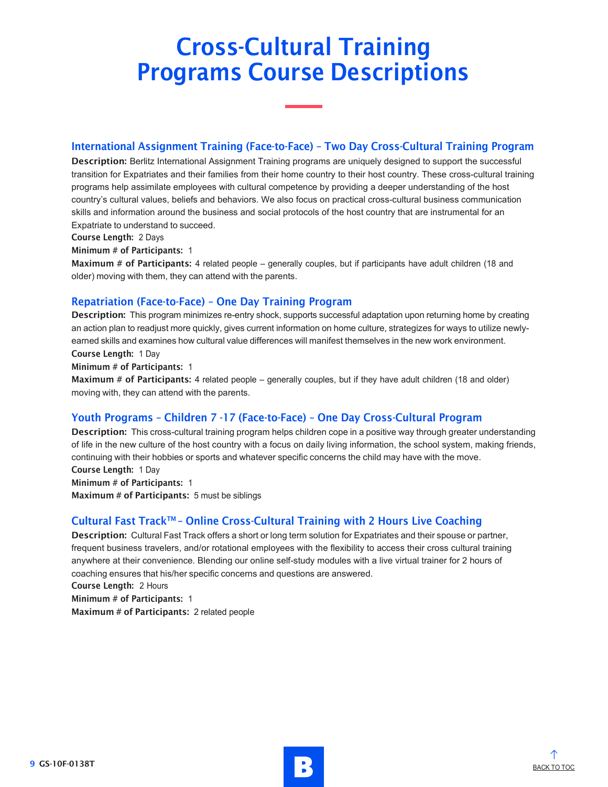### International Assignment Training (Face-to-Face) – Two Day Cross-Cultural Training Program

Description: Berlitz International Assignment Training programs are uniquely designed to support the successful transition for Expatriates and their families from their home country to their host country. These cross-cultural training programs help assimilate employees with cultural competence by providing a deeper understanding of the host country's cultural values, beliefs and behaviors. We also focus on practical cross-cultural business communication skills and information around the business and social protocols of the host country that are instrumental for an Expatriate to understand to succeed.

#### Course Length: 2 Days

#### Minimum # of Participants: 1

Maximum # of Participants: 4 related people – generally couples, but if participants have adult children (18 and older) moving with them, they can attend with the parents.

### Repatriation (Face-to-Face) – One Day Training Program

Description: This program minimizes re-entry shock, supports successful adaptation upon returning home by creating an action plan to readjust more quickly, gives current information on home culture, strategizes for ways to utilize newlyearned skills and examines how cultural value differences will manifest themselves in the new work environment. Course Length: 1 Day

#### Minimum # of Participants: 1

Maximum # of Participants: 4 related people – generally couples, but if they have adult children (18 and older) moving with, they can attend with the parents.

### Youth Programs – Children 7 -17 (Face-to-Face) – One Day Cross-Cultural Program

Description: This cross-cultural training program helps children cope in a positive way through greater understanding of life in the new culture of the host country with a focus on daily living information, the school system, making friends, continuing with their hobbies or sports and whatever specific concerns the child may have with the move. Course Length: 1 Day

Minimum # of Participants: 1 Maximum # of Participants: 5 must be siblings

### Cultural Fast Track™ – Online Cross-Cultural Training with 2 Hours Live Coaching

Description: Cultural Fast Track offers a short or long term solution for Expatriates and their spouse or partner, frequent business travelers, and/or rotational employees with the flexibility to access their cross cultural training anywhere at their convenience. Blending our online self-study modules with a live virtual trainer for 2 hours of coaching ensures that his/her specific concerns and questions are answered.

Course Length: 2 Hours

Minimum # of Participants: 1

Maximum # of Participants: 2 related people

![](_page_11_Picture_19.jpeg)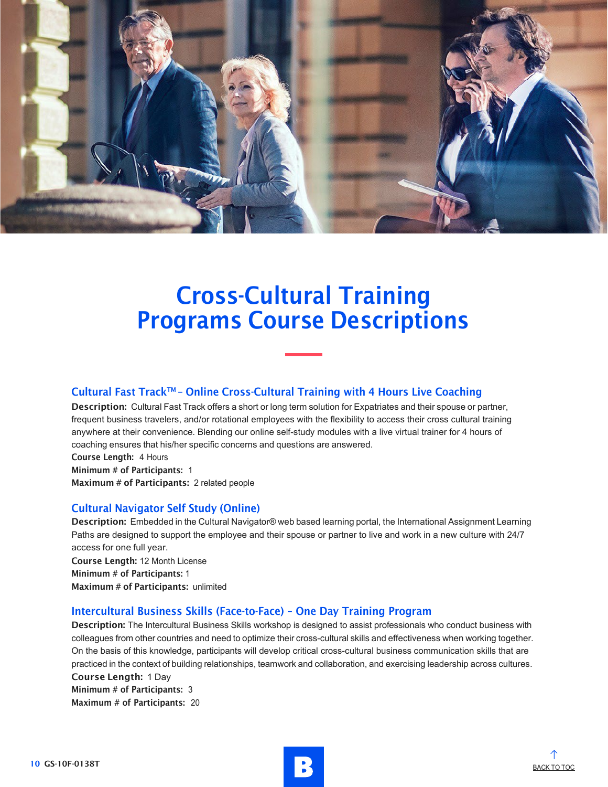![](_page_12_Picture_0.jpeg)

### Cultural Fast Track™ - Online Cross-Cultural Training with 4 Hours Live Coaching

Description: Cultural Fast Track offers a short or long term solution for Expatriates and their spouse or partner, frequent business travelers, and/or rotational employees with the flexibility to access their cross cultural training anywhere at their convenience. Blending our online self-study modules with a live virtual trainer for 4 hours of coaching ensures that his/her specific concerns and questions are answered.

Course Length: 4 Hours

Minimum # of Participants: 1

Maximum # of Participants: 2 related people

#### Cultural Navigator Self Study (Online)

Description: Embedded in the Cultural Navigator® web based learning portal, the International Assignment Learning Paths are designed to support the employee and their spouse or partner to live and work in a new culture with 24/7 access for one full year.

Course Length: 12 Month License Minimum # of Participants: 1 Maximum # of Participants: unlimited

#### Intercultural Business Skills (Face-to-Face) – One Day Training Program

Description: The Intercultural Business Skills workshop is designed to assist professionals who conduct business with colleagues from other countries and need to optimize their cross-cultural skills and effectiveness when working together. On the basis of this knowledge, participants will develop critical cross-cultural business communication skills that are practiced in the context of building relationships, teamwork and collaboration, and exercising leadership across cultures.

Course Length: 1 Day Minimum # of Participants: 3 Maximum # of Participants: 20

![](_page_12_Picture_14.jpeg)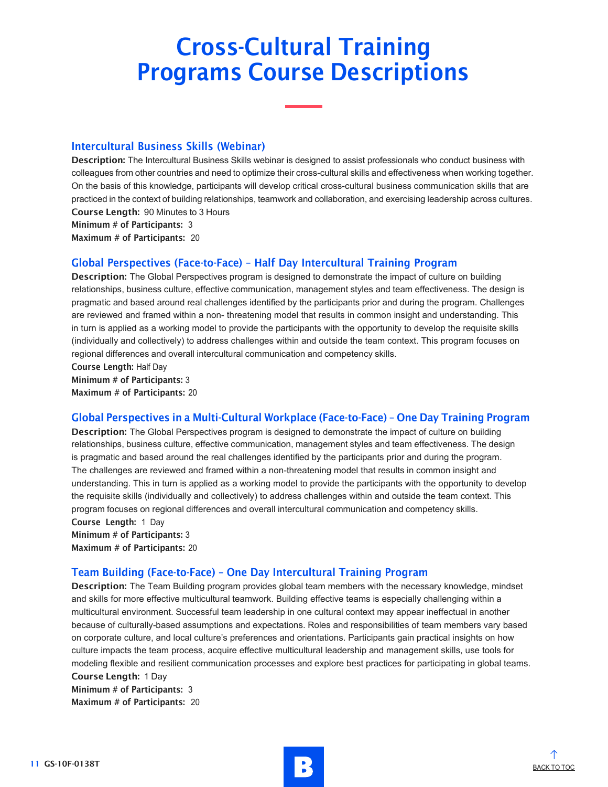#### Intercultural Business Skills (Webinar)

Description: The Intercultural Business Skills webinar is designed to assist professionals who conduct business with colleagues from other countries and need to optimize their cross-cultural skills and effectiveness when working together. On the basis of this knowledge, participants will develop critical cross-cultural business communication skills that are practiced in the context of building relationships, teamwork and collaboration, and exercising leadership across cultures. Course Length: 90 Minutes to 3 Hours

Maximum # of Participants: 20

#### Global Perspectives (Face-to-Face) – Half Day Intercultural Training Program

Description: The Global Perspectives program is designed to demonstrate the impact of culture on building relationships, business culture, effective communication, management styles and team effectiveness. The design is pragmatic and based around real challenges identified by the participants prior and during the program. Challenges are reviewed and framed within a non- threatening model that results in common insight and understanding. This in turn is applied as a working model to provide the participants with the opportunity to develop the requisite skills (individually and collectively) to address challenges within and outside the team context. This program focuses on regional differences and overall intercultural communication and competency skills.

Course Length: Half Day

Minimum # of Participants: 3 Maximum # of Participants: 20

### Global Perspectives in a Multi-Cultural Workplace (Face-to-Face) – One Day Training Program

Description: The Global Perspectives program is designed to demonstrate the impact of culture on building relationships, business culture, effective communication, management styles and team effectiveness. The design is pragmatic and based around the real challenges identified by the participants prior and during the program. The challenges are reviewed and framed within a non-threatening model that results in common insight and understanding. This in turn is applied as a working model to provide the participants with the opportunity to develop the requisite skills (individually and collectively) to address challenges within and outside the team context. This program focuses on regional differences and overall intercultural communication and competency skills. Course Length: 1 Day

Minimum # of Participants: 3 Maximum # of Participants: 20

### Team Building (Face-to-Face) – One Day Intercultural Training Program

Description: The Team Building program provides global team members with the necessary knowledge, mindset and skills for more effective multicultural teamwork. Building effective teams is especially challenging within a multicultural environment. Successful team leadership in one cultural context may appear ineffectual in another because of culturally-based assumptions and expectations. Roles and responsibilities of team members vary based on corporate culture, and local culture's preferences and orientations. Participants gain practical insights on how culture impacts the team process, acquire effective multicultural leadership and management skills, use tools for modeling flexible and resilient communication processes and explore best practices for participating in global teams. Course Length: 1 Day

Minimum # of Participants: 3 Maximum # of Participants: 20

11 GS-10F-0138T BACK TO TOC

![](_page_13_Picture_16.jpeg)

Minimum # of Participants: 3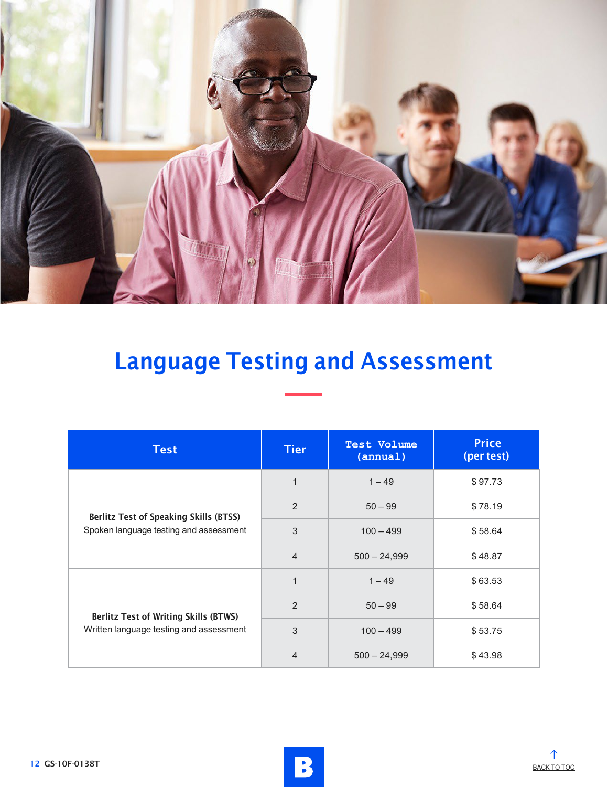![](_page_14_Picture_0.jpeg)

# Language Testing and Assessment

| <b>Test</b>                                                                             | <b>Tier</b>    | <b>Test Volume</b><br>(annual) | <b>Price</b><br>(per test) |
|-----------------------------------------------------------------------------------------|----------------|--------------------------------|----------------------------|
| <b>Berlitz Test of Speaking Skills (BTSS)</b><br>Spoken language testing and assessment | $\mathbf{1}$   | $1 - 49$                       | \$97.73                    |
|                                                                                         | 2              | $50 - 99$                      | \$78.19                    |
|                                                                                         | 3              | $100 - 499$                    | \$58.64                    |
|                                                                                         | $\overline{4}$ | $500 - 24,999$                 | \$48.87                    |
|                                                                                         | $\mathbf{1}$   | $1 - 49$                       | \$63.53                    |
| <b>Berlitz Test of Writing Skills (BTWS)</b>                                            | $\mathcal{P}$  | $50 - 99$                      | \$58.64                    |
| Written language testing and assessment                                                 | 3              | $100 - 499$                    | \$53.75                    |
|                                                                                         | $\overline{4}$ | $500 - 24,999$                 | \$43.98                    |

![](_page_14_Picture_4.jpeg)